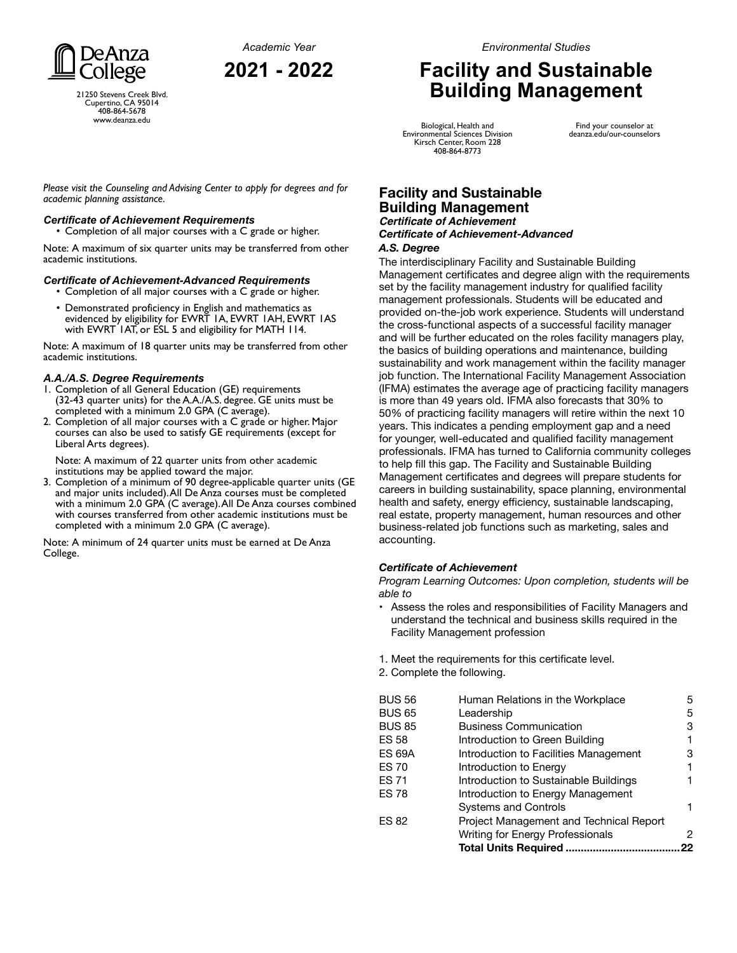

21250 Stevens Creek Blvd. Cupertino, CA 95014 408-864-5678 www.deanza.edu

# **Facility and Sustainable Building Management**

Biological, Health and Environmental Sciences Division Kirsch Center, Room 228 408-864-8773

Find your counselor at deanza.edu/our-counselors

*Please visit the Counseling and Advising Center to apply for degrees and for academic planning assistance.*

#### *Certificate of Achievement Requirements*

• Completion of all major courses with a C grade or higher.

Note: A maximum of six quarter units may be transferred from other academic institutions.

#### *Certificate of Achievement-Advanced Requirements*

- Completion of all major courses with a C grade or higher.
- Demonstrated proficiency in English and mathematics as evidenced by eligibility for EWRT 1A, EWRT 1AH, EWRT 1AS with EWRT 1AT, or ESL 5 and eligibility for MATH 114.

Note: A maximum of 18 quarter units may be transferred from other academic institutions.

#### *A.A./A.S. Degree Requirements*

- 1. Completion of all General Education (GE) requirements (32-43 quarter units) for the A.A./A.S. degree. GE units must be completed with a minimum 2.0 GPA (C average).
- 2. Completion of all major courses with a C grade or higher. Major courses can also be used to satisfy GE requirements (except for Liberal Arts degrees).

Note: A maximum of 22 quarter units from other academic institutions may be applied toward the major.

3. Completion of a minimum of 90 degree-applicable quarter units (GE and major units included). All De Anza courses must be completed with a minimum 2.0 GPA (C average). All De Anza courses combined with courses transferred from other academic institutions must be completed with a minimum 2.0 GPA (C average).

Note: A minimum of 24 quarter units must be earned at De Anza College.

## **Facility and Sustainable Building Management**

#### **Certificate of Achievement** *Certificate of Achievement-Advanced A.S. Degree*

The interdisciplinary Facility and Sustainable Building Management certificates and degree align with the requirements set by the facility management industry for qualified facility management professionals. Students will be educated and provided on-the-job work experience. Students will understand the cross-functional aspects of a successful facility manager and will be further educated on the roles facility managers play, the basics of building operations and maintenance, building sustainability and work management within the facility manager job function. The International Facility Management Association (IFMA) estimates the average age of practicing facility managers is more than 49 years old. IFMA also forecasts that 30% to 50% of practicing facility managers will retire within the next 10 years. This indicates a pending employment gap and a need for younger, well-educated and qualified facility management professionals. IFMA has turned to California community colleges to help fill this gap. The Facility and Sustainable Building Management certificates and degrees will prepare students for careers in building sustainability, space planning, environmental health and safety, energy efficiency, sustainable landscaping, real estate, property management, human resources and other business-related job functions such as marketing, sales and accounting.

### *Certificate of Achievement*

*Program Learning Outcomes: Upon completion, students will be able to*

- Assess the roles and responsibilities of Facility Managers and understand the technical and business skills required in the Facility Management profession
- 1. Meet the requirements for this certificate level.
- 2. Complete the following.

| BUS 56        | Human Relations in the Workplace        | 5  |
|---------------|-----------------------------------------|----|
| BUS 65        | Leadership                              | 5  |
| <b>BUS 85</b> | <b>Business Communication</b>           | 3  |
| ES 58         | Introduction to Green Building          |    |
| ES 69A        | Introduction to Facilities Management   | з  |
| ES 70         | Introduction to Energy                  |    |
| ES 71         | Introduction to Sustainable Buildings   |    |
| ES 78         | Introduction to Energy Management       |    |
|               | <b>Systems and Controls</b>             |    |
| ES 82         | Project Management and Technical Report |    |
|               | <b>Writing for Energy Professionals</b> | 2  |
|               | <b>Total Units Required.</b>            | 22 |